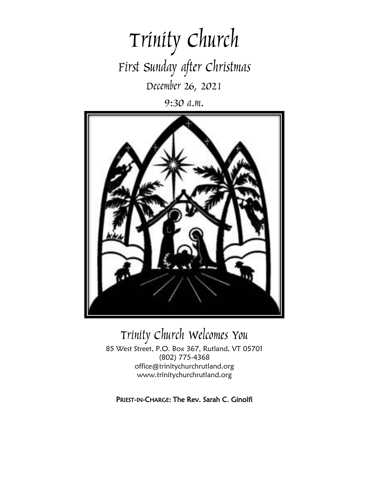# Trinity Church First Sunday after Christmas December 26, 2021

9:30 a.m.



# Trinity Church Welcomes You

85 West Street, P.O. Box 367, Rutland, VT 05701 (802) 775-4368 office@trinitychurchrutland.org www.trinitychurchrutland.org

PRIEST-IN-CHARGE: The Rev. Sarah C. Ginolfi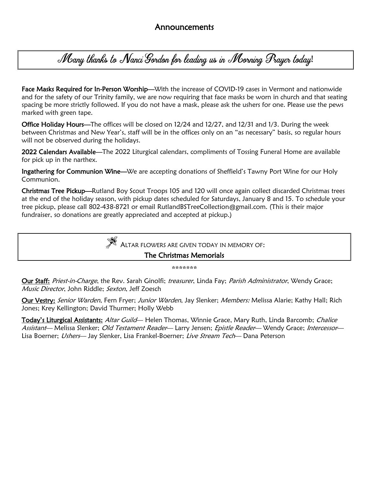### Announcements

Many thanks to Nanci Gordon for leading us in Morning Prayer today!

Face Masks Required for In-Person Worship—With the increase of COVID-19 cases in Vermont and nationwide and for the safety of our Trinity family, we are now requiring that face masks be worn in church and that seating spacing be more strictly followed. If you do not have a mask, please ask the ushers for one. Please use the pews marked with green tape.

Office Holiday Hours—The offices will be closed on 12/24 and 12/27, and 12/31 and 1/3. During the week between Christmas and New Year's, staff will be in the offices only on an "as necessary" basis, so regular hours will not be observed during the holidays.

2022 Calendars Available—The 2022 Liturgical calendars, compliments of Tossing Funeral Home are available for pick up in the narthex.

Ingathering for Communion Wine—We are accepting donations of Sheffield's Tawny Port Wine for our Holy Communion.

Christmas Tree Pickup—Rutland Boy Scout Troops 105 and 120 will once again collect discarded Christmas trees at the end of the holiday season, with pickup dates scheduled for Saturdays, January 8 and 15. To schedule your tree pickup, please call 802-438-8721 or email RutlandBSTreeCollection@gmail.com. (This is their major fundraiser, so donations are greatly appreciated and accepted at pickup.)



### The Christmas Memorials

\*\*\*\*\*\*\*

Our Staff: Priest-in-Charge, the Rev. Sarah Ginolfi; treasurer, Linda Fay; Parish Administrator, Wendy Grace; Music Director, John Riddle; Sexton, Jeff Zoesch

Our Vestry: Senior Warden, Fern Fryer; Junior Warden, Jay Slenker; Members: Melissa Alarie; Kathy Hall; Rich Jones; Krey Kellington; David Thurmer; Holly Webb

Today's Liturgical Assistants: Altar Guild— Helen Thomas, Winnie Grace, Mary Ruth, Linda Barcomb; Chalice Assistant-Melissa Slenker; Old Testament Reader-Larry Jensen; Epistle Reader-Wendy Grace; Intercessor-Lisa Boerner; Ushers— Jay Slenker, Lisa Frankel-Boerner; Live Stream Tech— Dana Peterson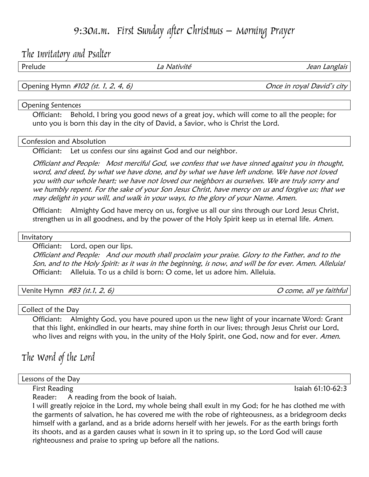# 9:30a.m. First Sunday after Christmas – Morning Prayer

### The Invitatory and Psalter

Prelude La Nativité Jean Langlais

Opening Hymn #102 (st. 1, 2, 4, 6) Conce in royal David's city

### Opening Sentences

Officiant: Behold, I bring you good news of a great joy, which will come to all the people; for unto you is born this day in the city of David, a Savior, who is Christ the Lord.

### Confession and Absolution

Officiant: Let us confess our sins against God and our neighbor.

Officiant and People: Most merciful God, we confess that we have sinned against you in thought, word, and deed, by what we have done, and by what we have left undone. We have not loved you with our whole heart; we have not loved our neighbors as ourselves. We are truly sorry and we humbly repent. For the sake of your Son Jesus Christ, have mercy on us and forgive us; that we may delight in your will, and walk in your ways, to the glory of your Name. Amen.

Officiant: Almighty God have mercy on us, forgive us all our sins through our Lord Jesus Christ, strengthen us in all goodness, and by the power of the Holy Spirit keep us in eternal life. Amen.

### Invitatory

Officiant: Lord, open our lips.

Officiant and People: And our mouth shall proclaim your praise. Glory to the Father, and to the Son, and to the Holy Spirit: as it was in the beginning, is now, and will be for ever. Amen. Alleluia! Officiant: Alleluia. To us a child is born: O come, let us adore him. Alleluia.

Venite Hymn #83 (st.1, 2, 6)  $O$  come, all ye faithful

### Collect of the Day

Officiant: Almighty God, you have poured upon us the new light of your incarnate Word: Grant that this light, enkindled in our hearts, may shine forth in our lives; through Jesus Christ our Lord, who lives and reigns with you, in the unity of the Holy Spirit, one God, now and for ever. Amen.

## The Word of the Lord

### Lessons of the Day

First Reading Isaiah 61:10-62:3

Reader: A reading from the book of Isaiah.

I will greatly rejoice in the Lord, my whole being shall exult in my God; for he has clothed me with the garments of salvation, he has covered me with the robe of righteousness, as a bridegroom decks himself with a garland, and as a bride adorns herself with her jewels. For as the earth brings forth its shoots, and as a garden causes what is sown in it to spring up, so the Lord God will cause righteousness and praise to spring up before all the nations.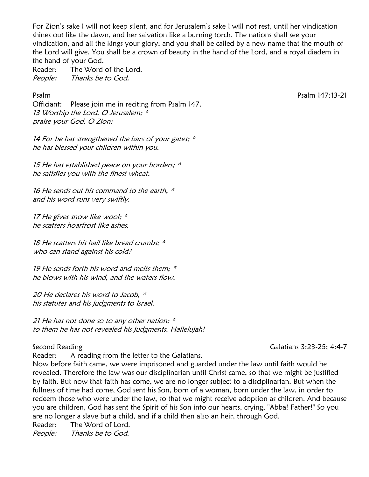For Zion's sake I will not keep silent, and for Jerusalem's sake I will not rest, until her vindication shines out like the dawn, and her salvation like a burning torch. The nations shall see your vindication, and all the kings your glory; and you shall be called by a new name that the mouth of the Lord will give. You shall be a crown of beauty in the hand of the Lord, and a royal diadem in the hand of your God.

Reader: The Word of the Lord. People: Thanks be to God.

Psalm Psalm 147:13-21

Officiant: Please join me in reciting from Psalm 147. 13 Worship the Lord, O Jerusalem;  $*$ praise your God, O Zion;

14 For he has strengthened the bars of your gates; \* he has blessed your children within you.

15 He has established peace on your borders; \* he satisfies you with the finest wheat.

16 He sends out his command to the earth,  $*$ and his word runs very swiftly.

17 He gives snow like wool; \* he scatters hoarfrost like ashes.

18 He scatters his hail like bread crumbs; \* who can stand against his cold?

19 He sends forth his word and melts them; \* he blows with his wind, and the waters flow.

20 He declares his word to Jacob,  $*$ his statutes and his judgments to Israel.

21 He has not done so to any other nation; \* to them he has not revealed his judgments. Hallelujah!

Reader: A reading from the letter to the Galatians.

Now before faith came, we were imprisoned and guarded under the law until faith would be revealed. Therefore the law was our disciplinarian until Christ came, so that we might be justified by faith. But now that faith has come, we are no longer subject to a disciplinarian. But when the fullness of time had come, God sent his Son, born of a woman, born under the law, in order to redeem those who were under the law, so that we might receive adoption as children. And because you are children, God has sent the Spirit of his Son into our hearts, crying, "Abba! Father!" So you are no longer a slave but a child, and if a child then also an heir, through God.

Reader: The Word of Lord. People: Thanks be to God.

Second Reading Galatians 3:23-25; 4:4-7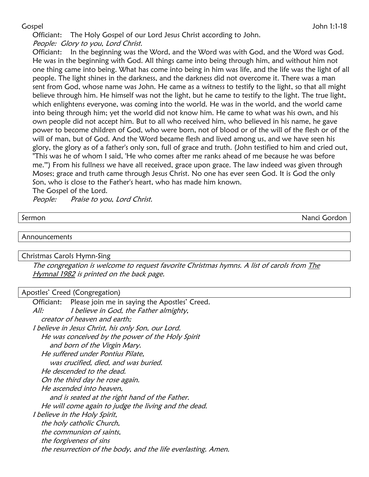Officiant: The Holy Gospel of our Lord Jesus Christ according to John.

### People: Glory to you, Lord Christ.

Officiant: In the beginning was the Word, and the Word was with God, and the Word was God. He was in the beginning with God. All things came into being through him, and without him not one thing came into being. What has come into being in him was life, and the life was the light of all people. The light shines in the darkness, and the darkness did not overcome it. There was a man sent from God, whose name was John. He came as a witness to testify to the light, so that all might believe through him. He himself was not the light, but he came to testify to the light. The true light, which enlightens everyone, was coming into the world. He was in the world, and the world came into being through him; yet the world did not know him. He came to what was his own, and his own people did not accept him. But to all who received him, who believed in his name, he gave power to become children of God, who were born, not of blood or of the will of the flesh or of the will of man, but of God. And the Word became flesh and lived among us, and we have seen his glory, the glory as of a father's only son, full of grace and truth. (John testified to him and cried out, "This was he of whom I said, 'He who comes after me ranks ahead of me because he was before me.'") From his fullness we have all received, grace upon grace. The law indeed was given through Moses; grace and truth came through Jesus Christ. No one has ever seen God. It is God the only Son, who is close to the Father's heart, who has made him known.

The Gospel of the Lord.

People: Praise to you, Lord Christ.

Sermon Nanci Gordon

Announcements

Christmas Carols Hymn-Sing

The congregation is welcome to request favorite Christmas hymns. A list of carols from The Hymnal 1982 is printed on the back page.

### Apostles' Creed (Congregation)

| Officiant:                                                    | Please join me in saying the Apostles' Creed.        |  |
|---------------------------------------------------------------|------------------------------------------------------|--|
| All:                                                          | I believe in God, the Father almighty,               |  |
| creator of heaven and earth:                                  |                                                      |  |
| I believe in Jesus Christ, his only Son, our Lord.            |                                                      |  |
| He was conceived by the power of the Holy Spirit              |                                                      |  |
| and born of the Virgin Mary.                                  |                                                      |  |
| He suffered under Pontius Pilate.                             |                                                      |  |
| was crucified, died, and was buried.                          |                                                      |  |
| He descended to the dead.                                     |                                                      |  |
| On the third day he rose again.                               |                                                      |  |
| He ascended into heaven.                                      |                                                      |  |
| and is seated at the right hand of the Father.                |                                                      |  |
|                                                               | He will come again to judge the living and the dead. |  |
| I believe in the Holy Spirit,                                 |                                                      |  |
| the holy catholic Church,                                     |                                                      |  |
| the communion of saints.                                      |                                                      |  |
| the forgiveness of sins                                       |                                                      |  |
| the resurrection of the body, and the life everlasting. Amen. |                                                      |  |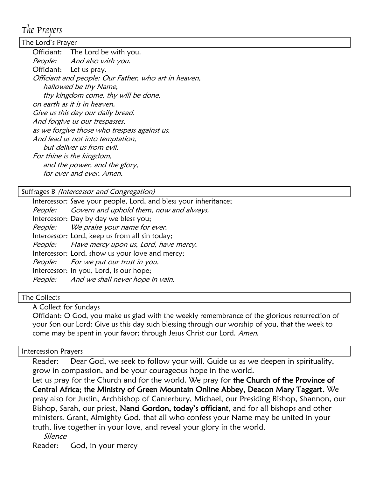## The Prayers

### The Lord's Prayer

Officiant: The Lord be with you. People: And also with you. Officiant: Let us pray. Officiant and people: Our Father, who art in heaven, hallowed be thy Name, thy kingdom come, thy will be done, on earth as it is in heaven. Give us this day our daily bread. And forgive us our trespasses, as we forgive those who trespass against us. And lead us not into temptation, but deliver us from evil. For thine is the kingdom, and the power, and the glory, for ever and ever. Amen.

### Suffrages B (Intercessor and Congregation)

|  | Intercessor: Save your people, Lord, and bless your inheritance; |
|--|------------------------------------------------------------------|
|  | People: Govern and uphold them, now and always.                  |
|  | Intercessor: Day by day we bless you;                            |
|  | People: We praise your name for ever.                            |
|  | Intercessor: Lord, keep us from all sin today;                   |
|  | People: Have mercy upon us, Lord, have mercy.                    |
|  | Intercessor: Lord, show us your love and mercy;                  |
|  | People: For we put our trust in you.                             |
|  | Intercessor: In you, Lord, is our hope;                          |
|  | People: And we shall never hope in vain.                         |
|  |                                                                  |

### The Collects

A Collect for Sundays

Officiant: O God, you make us glad with the weekly remembrance of the glorious resurrection of your Son our Lord: Give us this day such blessing through our worship of you, that the week to come may be spent in your favor; through Jesus Christ our Lord. Amen.

### Intercession Prayers

Reader: Dear God, we seek to follow your will. Guide us as we deepen in spirituality, grow in compassion, and be your courageous hope in the world.

Let us pray for the Church and for the world. We pray for the Church of the Province of Central Africa; the Ministry of Green Mountain Online Abbey, Deacon Mary Taggart. We pray also for Justin, Archbishop of Canterbury, Michael, our Presiding Bishop, Shannon, our Bishop, Sarah, our priest, Nanci Gordon, today's officiant, and for all bishops and other ministers. Grant, Almighty God, that all who confess your Name may be united in your truth, live together in your love, and reveal your glory in the world.

### Silence

Reader: God, in your mercy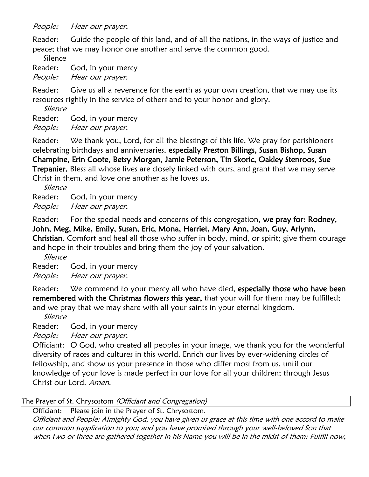People: Hear our prayer.

Reader: Guide the people of this land, and of all the nations, in the ways of justice and peace; that we may honor one another and serve the common good.

Silence

Reader: God, in your mercy

People: Hear our prayer.

Reader: Give us all a reverence for the earth as your own creation, that we may use its resources rightly in the service of others and to your honor and glory.

Silence

Reader: God, in your mercy

People: Hear our prayer.

Reader: We thank you, Lord, for all the blessings of this life. We pray for parishioners celebrating birthdays and anniversaries, especially Preston Billings, Susan Bishop, Susan Champine, Erin Coote, Betsy Morgan, Jamie Peterson, Tin Skoric, Oakley Stenroos, Sue Trepanier. Bless all whose lives are closely linked with ours, and grant that we may serve Christ in them, and love one another as he loves us.

Silence

Reader: God, in your mercy

People: Hear our prayer.

Reader: For the special needs and concerns of this congregation, we pray for: Rodney, John, Meg, Mike, Emily, Susan, Eric, Mona, Harriet, Mary Ann, Joan, Guy, Arlynn, Christian. Comfort and heal all those who suffer in body, mind, or spirit; give them courage

and hope in their troubles and bring them the joy of your salvation.

Silence

Reader: God, in your mercy

People: Hear our prayer.

Reader: We commend to your mercy all who have died, especially those who have been remembered with the Christmas flowers this year, that your will for them may be fulfilled; and we pray that we may share with all your saints in your eternal kingdom.

Silence

Reader: God, in your mercy

People: Hear our prayer.

Officiant: O God, who created all peoples in your image, we thank you for the wonderful diversity of races and cultures in this world. Enrich our lives by ever-widening circles of fellowship, and show us your presence in those who differ most from us, until our knowledge of your love is made perfect in our love for all your children; through Jesus Christ our Lord. Amen.

The Prayer of St. Chrysostom (Officiant and Congregation)

Officiant: Please join in the Prayer of St. Chrysostom.

Officiant and People: Almighty God, you have given us grace at this time with one accord to make our common supplication to you; and you have promised through your well-beloved Son that when two or three are gathered together in his Name you will be in the midst of them: Fulfill now,